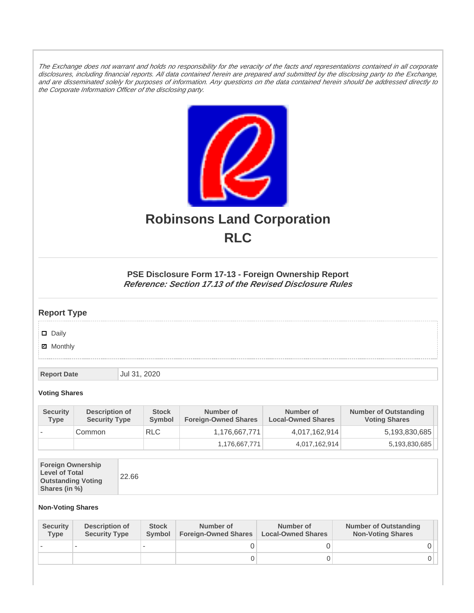The Exchange does not warrant and holds no responsibility for the veracity of the facts and representations contained in all corporate disclosures, including financial reports. All data contained herein are prepared and submitted by the disclosing party to the Exchange, and are disseminated solely for purposes of information. Any questions on the data contained herein should be addressed directly to the Corporate Information Officer of the disclosing party.



# **Robinsons Land Corporation RLC**

## **PSE Disclosure Form 17-13 - Foreign Ownership Report Reference: Section 17.13 of the Revised Disclosure Rules**

## **Report Type**

Daily

**Ø** Monthly

**Report Date Jul 31, 2020** 

#### **Voting Shares**

| <b>Security</b><br><b>Type</b> | Description of<br><b>Security Type</b> | <b>Stock</b><br>Symbol | Number of<br><b>Foreign-Owned Shares</b> | Number of<br><b>Local-Owned Shares</b> | <b>Number of Outstanding</b><br><b>Voting Shares</b> |
|--------------------------------|----------------------------------------|------------------------|------------------------------------------|----------------------------------------|------------------------------------------------------|
|                                | Common                                 | <b>RLC</b>             | 1,176,667,771                            | 4,017,162,914                          | 5,193,830,685                                        |
|                                |                                        |                        | 1,176,667,771                            | 4,017,162,914                          | 5,193,830,685                                        |

| <b>Foreign Ownership</b><br><b>Level of Total</b><br><b>Outstanding Voting</b><br>Shares (in %) |
|-------------------------------------------------------------------------------------------------|
|-------------------------------------------------------------------------------------------------|

### **Non-Voting Shares**

| <b>Security</b><br><b>Type</b> | Description of<br><b>Security Type</b> | <b>Stock</b><br>Symbol | Number of<br><b>Foreign-Owned Shares</b> | Number of<br><b>Local-Owned Shares</b> | <b>Number of Outstanding</b><br><b>Non-Voting Shares</b> |
|--------------------------------|----------------------------------------|------------------------|------------------------------------------|----------------------------------------|----------------------------------------------------------|
|                                |                                        |                        |                                          |                                        |                                                          |
|                                |                                        |                        |                                          |                                        | 0 I                                                      |